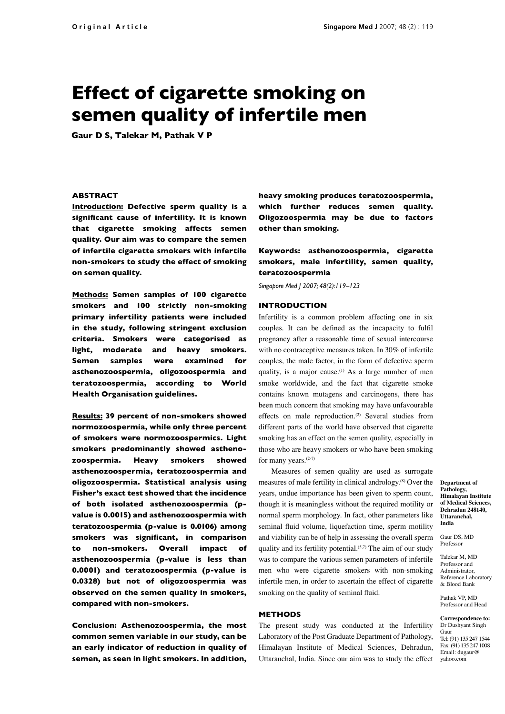# **Effect of cigarette smoking on semen quality of infertile men**

**Gaur D S, Talekar M, Pathak V P**

### **ABSTRACT**

**Introduction: Defective sperm quality is a signifi cant cause of infertility. It is known that cigarette smoking affects semen quality. Our aim was to compare the semen of infertile cigarette smokers with infertile non-smokers to study the effect of smoking on semen quality.** 

**Methods: Semen samples of 100 cigarette smokers and 100 strictly non-smoking primary infertility patients were included in the study, following stringent exclusion criteria. Smokers were categorised as light, moderate and heavy smokers. Semen samples were examined for asthenozoospermia, oligozoospermia and teratozoospermia, according to World Health Organisation guidelines.** 

**Results: 39 percent of non-smokers showed normozoospermia, while only three percent of smokers were normozoospermics. Light smokers predominantly showed asthenozoospermia. Heavy smokers showed asthenozoospermia, teratozoospermia and oligozoospermia. Statistical analysis using Fisher's exact test showed that the incidence of both isolated asthenozoospermia (pvalue is 0.0015) and asthenozoospermia with teratozoospermia (p-value is 0.0106) among**  smokers was significant, in comparison **to non-smokers. Overall impact of asthenozoospermia (p-value is less than 0.0001) and teratozoospermia (p-value is 0.0328) but not of oligozoospermia was observed on the semen quality in smokers, compared with non-smokers.** 

**Conclusion: Asthenozoospermia, the most common semen variable in our study, can be an early indicator of reduction in quality of semen, as seen in light smokers. In addition,** 

**heavy smoking produces teratozoospermia, which further reduces semen quality. Oligozoospermia may be due to factors other than smoking.** 

**Keywords: asthenozoospermia, cigarette smokers, male infertility, semen quality, teratozoospermia**

*Singapore Med J 2007; 48(2):119–123*

#### **INTRODUCTION**

Infertility is a common problem affecting one in six couples. It can be defined as the incapacity to fulfil pregnancy after a reasonable time of sexual intercourse with no contraceptive measures taken. In 30% of infertile couples, the male factor, in the form of defective sperm quality, is a major cause.<sup>(1)</sup> As a large number of men smoke worldwide, and the fact that cigarette smoke contains known mutagens and carcinogens, there has been much concern that smoking may have unfavourable effects on male reproduction.<sup>(2)</sup> Several studies from different parts of the world have observed that cigarette smoking has an effect on the semen quality, especially in those who are heavy smokers or who have been smoking for many years.(2-7)

Measures of semen quality are used as surrogate measures of male fertility in clinical andrology.(8) Over the years, undue importance has been given to sperm count, though it is meaningless without the required motility or normal sperm morphology. In fact, other parameters like seminal fluid volume, liquefaction time, sperm motility and viability can be of help in assessing the overall sperm quality and its fertility potential.<sup>(5,7)</sup> The aim of our study was to compare the various semen parameters of infertile men who were cigarette smokers with non-smoking infertile men, in order to ascertain the effect of cigarette smoking on the quality of seminal fluid.

#### **METHODS**

The present study was conducted at the Infertility Laboratory of the Post Graduate Department of Pathology, Himalayan Institute of Medical Sciences, Dehradun, Uttaranchal, India. Since our aim was to study the effect yahoo.com

**Department of Pathology, Himalayan Institute of Medical Sciences, Dehradun 248140, Uttaranchal, India**

Gaur DS, MD Professor

Talekar M, MD Professor and Administrator, Reference Laboratory & Blood Bank

Pathak VP, MD Professor and Head

**Correspondence to:** Dr Dushyant Singh Gaur Tel: (91) 135 247 1544 Fax: (91) 135 247 1008 Email: dugaur@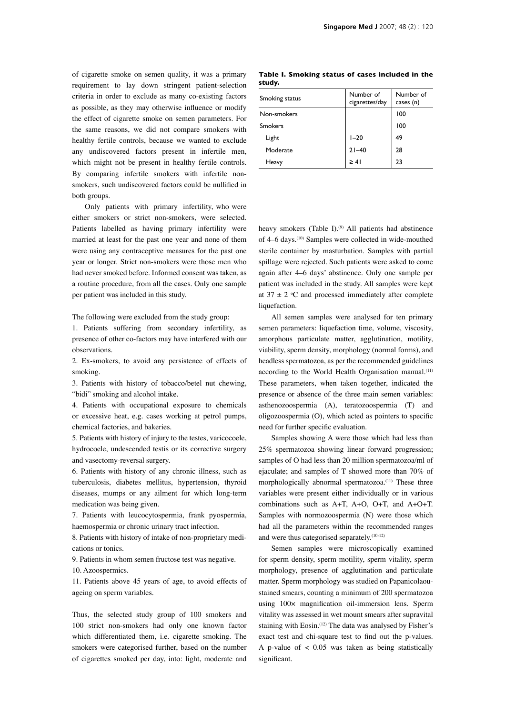of cigarette smoke on semen quality, it was a primary requirement to lay down stringent patient-selection criteria in order to exclude as many co-existing factors as possible, as they may otherwise influence or modify the effect of cigarette smoke on semen parameters. For the same reasons, we did not compare smokers with healthy fertile controls, because we wanted to exclude any undiscovered factors present in infertile men, which might not be present in healthy fertile controls. By comparing infertile smokers with infertile nonsmokers, such undiscovered factors could be nullified in both groups.

Only patients with primary infertility, who were either smokers or strict non-smokers, were selected. Patients labelled as having primary infertility were married at least for the past one year and none of them were using any contraceptive measures for the past one year or longer. Strict non-smokers were those men who had never smoked before. Informed consent was taken, as a routine procedure, from all the cases. Only one sample per patient was included in this study.

The following were excluded from the study group:

1. Patients suffering from secondary infertility, as presence of other co-factors may have interfered with our observations.

2. Ex-smokers, to avoid any persistence of effects of smoking.

3. Patients with history of tobacco/betel nut chewing, "bidi" smoking and alcohol intake.

4. Patients with occupational exposure to chemicals or excessive heat, e.g. cases working at petrol pumps, chemical factories, and bakeries.

5. Patients with history of injury to the testes, varicocoele, hydrocoele, undescended testis or its corrective surgery and vasectomy-reversal surgery.

6. Patients with history of any chronic illness, such as tuberculosis, diabetes mellitus, hypertension, thyroid diseases, mumps or any ailment for which long-term medication was being given.

7. Patients with leucocytospermia, frank pyospermia, haemospermia or chronic urinary tract infection.

8. Patients with history of intake of non-proprietary medications or tonics.

9. Patients in whom semen fructose test was negative.

10. Azoospermics.

11. Patients above 45 years of age, to avoid effects of ageing on sperm variables.

Thus, the selected study group of 100 smokers and 100 strict non-smokers had only one known factor which differentiated them, i.e. cigarette smoking. The smokers were categorised further, based on the number of cigarettes smoked per day, into: light, moderate and

**Table I. Smoking status of cases included in the study.**

| Smoking status | Number of<br>cigarettes/day | Number of<br>cases (n) |
|----------------|-----------------------------|------------------------|
| Non-smokers    |                             | 100                    |
| <b>Smokers</b> |                             | 100                    |
| Light          | $1 - 20$                    | 49                     |
| Moderate       | $21 - 40$                   | 28                     |
| Heavy          | $\geq 41$                   | 23                     |

heavy smokers (Table I).<sup>(9)</sup> All patients had abstinence of 4–6 days.<sup>(10)</sup> Samples were collected in wide-mouthed sterile container by masturbation. Samples with partial spillage were rejected. Such patients were asked to come again after 4–6 days' abstinence. Only one sample per patient was included in the study. All samples were kept at  $37 \pm 2$  °C and processed immediately after complete liquefaction.

All semen samples were analysed for ten primary semen parameters: liquefaction time, volume, viscosity, amorphous particulate matter, agglutination, motility, viability, sperm density, morphology (normal forms), and headless spermatozoa, as per the recommended guidelines according to the World Health Organisation manual.<sup>(11)</sup> These parameters, when taken together, indicated the presence or absence of the three main semen variables: asthenozoospermia (A), teratozoospermia (T) and  $oligozoospermia (O)$ , which acted as pointers to specific need for further specific evaluation.

Samples showing A were those which had less than 25% spermatozoa showing linear forward progression; samples of O had less than 20 million spermatozoa/ml of ejaculate; and samples of T showed more than 70% of morphologically abnormal spermatozoa.<sup>(11)</sup> These three variables were present either individually or in various combinations such as A+T, A+O, O+T, and A+O+T. Samples with normozoospermia (N) were those which had all the parameters within the recommended ranges and were thus categorised separately.<sup>(10-12)</sup>

Semen samples were microscopically examined for sperm density, sperm motility, sperm vitality, sperm morphology, presence of agglutination and particulate matter. Sperm morphology was studied on Papanicolaoustained smears, counting a minimum of 200 spermatozoa using 100× magnification oil-immersion lens. Sperm vitality was assessed in wet mount smears after supravital staining with Eosin.<sup>(12)</sup> The data was analysed by Fisher's exact test and chi-square test to find out the p-values. A p-value of  $\lt$  0.05 was taken as being statistically significant.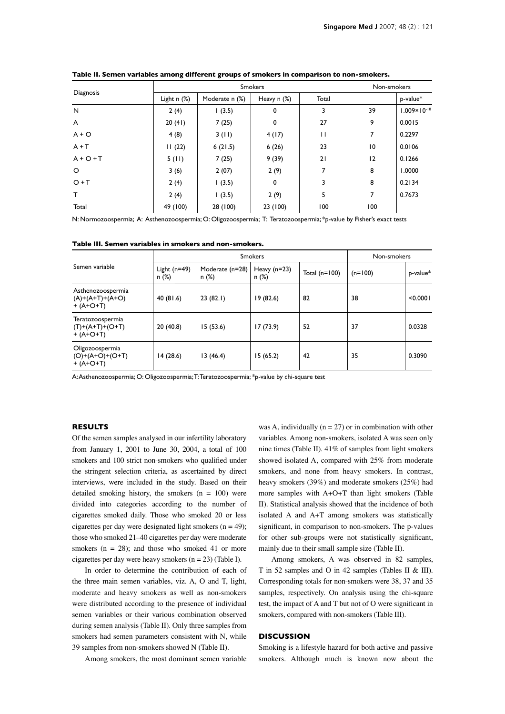| Diagnosis   | <b>Smokers</b>   |                |               |       | Non-smokers |                         |
|-------------|------------------|----------------|---------------|-------|-------------|-------------------------|
|             | Light $n$ $(\%)$ | Moderate n (%) | Heavy $n$ $%$ | Total |             | p-value*                |
| N           | 2(4)             | 1(3.5)         | 0             | 3     | 39          | $1.009 \times 10^{-10}$ |
| A           | 20(41)           | 7(25)          | 0             | 27    | 9           | 0.0015                  |
| $A + O$     | 4(8)             | 3(11)          | 4(17)         | П     | 7           | 0.2297                  |
| $A + T$     | 11(22)           | 6(21.5)        | 6(26)         | 23    | 10          | 0.0106                  |
| $A + O + T$ | 5(11)            | 7(25)          | 9(39)         | 21    | 12          | 0.1266                  |
| $\circ$     | 3(6)             | 2(07)          | 2(9)          | 7     | 8           | 1.0000                  |
| $O + T$     | 2(4)             | 1(3.5)         | 0             | 3     | 8           | 0.2134                  |
| T.          | 2(4)             | 1(3.5)         | 2(9)          | 5     | 7           | 0.7673                  |
| Total       | 49 (100)         | 28 (100)       | 23 (100)      | 100   | 100         |                         |

**Table II. Semen variables among different groups of smokers in comparison to non-smokers.**

N: Normozoospermia; A: Asthenozoospermia; O: Oligozoospermia; T: Teratozoospermia; \*p-value by Fisher's exact tests

| Table III. Semen variables in smokers and non-smokers. |  |
|--------------------------------------------------------|--|
|--------------------------------------------------------|--|

|                                                           | <b>Smokers</b>          |                            |                         |                 | Non-smokers |          |
|-----------------------------------------------------------|-------------------------|----------------------------|-------------------------|-----------------|-------------|----------|
| Semen variable                                            | Light $(n=49)$<br>n (%) | Moderate (n=28)<br>$n$ (%) | Heavy $(n=23)$<br>n (%) | Total $(n=100)$ | $(n=100)$   | p-value* |
| Asthenozoospermia<br>$(A)+(A+T)+(A+O)$<br>$+ (A + O + T)$ | 40 $(81.6)$             | 23(82.1)                   | 19(82.6)                | 82              | 38          | < 0.0001 |
| Teratozoospermia<br>$(T)+(A+T)+(O+T)$<br>$+ (A + O + T)$  | 20(40.8)                | 15(53.6)                   | 17(73.9)                | 52              | 37          | 0.0328   |
| Oligozoospermia<br>$(O)+(A+O)+(O+T)$<br>$+ (A + O + T)$   | 14(28.6)                | 13(46.4)                   | 15(65.2)                | 42              | 35          | 0.3090   |

A: Asthenozoospermia; O: Oligozoospermia; T: Teratozoospermia; \*p-value by chi-square test

#### **RESULTS**

Of the semen samples analysed in our infertility laboratory from January 1, 2001 to June 30, 2004, a total of 100 smokers and 100 strict non-smokers who qualified under the stringent selection criteria, as ascertained by direct interviews, were included in the study. Based on their detailed smoking history, the smokers  $(n = 100)$  were divided into categories according to the number of cigarettes smoked daily. Those who smoked 20 or less cigarettes per day were designated light smokers ( $n = 49$ ); those who smoked 21–40 cigarettes per day were moderate smokers ( $n = 28$ ); and those who smoked 41 or more cigarettes per day were heavy smokers  $(n = 23)$  (Table I).

In order to determine the contribution of each of the three main semen variables, viz. A, O and T, light, moderate and heavy smokers as well as non-smokers were distributed according to the presence of individual semen variables or their various combination observed during semen analysis (Table II). Only three samples from smokers had semen parameters consistent with N, while 39 samples from non-smokers showed N (Table II).

Among smokers, the most dominant semen variable

was A, individually ( $n = 27$ ) or in combination with other variables. Among non-smokers, isolated A was seen only nine times (Table II). 41% of samples from light smokers showed isolated A, compared with 25% from moderate smokers, and none from heavy smokers. In contrast, heavy smokers (39%) and moderate smokers (25%) had more samples with A+O+T than light smokers (Table II). Statistical analysis showed that the incidence of both isolated A and A+T among smokers was statistically significant, in comparison to non-smokers. The p-values for other sub-groups were not statistically significant, mainly due to their small sample size (Table II).

Among smokers, A was observed in 82 samples, T in 52 samples and O in 42 samples (Tables II & III). Corresponding totals for non-smokers were 38, 37 and 35 samples, respectively. On analysis using the chi-square test, the impact of A and T but not of O were significant in smokers, compared with non-smokers (Table III).

### **DISCUSSION**

Smoking is a lifestyle hazard for both active and passive smokers. Although much is known now about the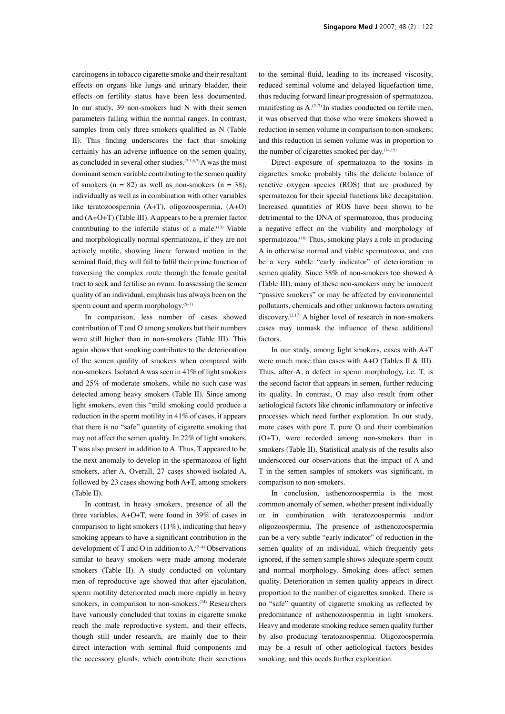carcinogens in tobacco cigarette smoke and their resultant effects on organs like lungs and urinary bladder, their effects on fertility status have been less documented. In our study, 39 non-smokers had N with their semen parameters falling within the normal ranges. In contrast, samples from only three smokers qualified as N (Table II). This finding underscores the fact that smoking certainly has an adverse influence on the semen quality, as concluded in several other studies.(2,3,6,7) A was the most dominant semen variable contributing to the semen quality of smokers ( $n = 82$ ) as well as non-smokers ( $n = 38$ ), individually as well as in combination with other variables like teratozoospermia (A+T), oligozoospermia, (A+O) and (A+O+T) (Table III). A appears to be a premier factor contributing to the infertile status of a male.<sup>(13)</sup> Viable and morphologically normal spermatozoa, if they are not actively motile, showing linear forward motion in the seminal fluid, they will fail to fulfil their prime function of traversing the complex route through the female genital tract to seek and fertilise an ovum. In assessing the semen quality of an individual, emphasis has always been on the sperm count and sperm morphology.<sup>(5-7)</sup>

In comparison, less number of cases showed contribution of T and O among smokers but their numbers were still higher than in non-smokers (Table III). This again shows that smoking contributes to the deterioration of the semen quality of smokers when compared with non-smokers. Isolated A was seen in 41% of light smokers and 25% of moderate smokers, while no such case was detected among heavy smokers (Table II). Since among light smokers, even this "mild smoking could produce a reduction in the sperm motility in 41% of cases, it appears that there is no "safe" quantity of cigarette smoking that may not affect the semen quality. In 22% of light smokers, T was also present in addition to A. Thus, T appeared to be the next anomaly to develop in the spermatozoa of light smokers, after A. Overall, 27 cases showed isolated A, followed by 23 cases showing both A+T, among smokers (Table II).

In contrast, in heavy smokers, presence of all the three variables, A+O+T, were found in 39% of cases in comparison to light smokers (11%), indicating that heavy smoking appears to have a significant contribution in the development of T and O in addition to  $A^{(2-4)}$  Observations similar to heavy smokers were made among moderate smokers (Table II). A study conducted on voluntary men of reproductive age showed that after ejaculation, sperm motility deteriorated much more rapidly in heavy smokers, in comparison to non-smokers.<sup>(14)</sup> Researchers have variously concluded that toxins in cigarette smoke reach the male reproductive system, and their effects, though still under research, are mainly due to their direct interaction with seminal fluid components and the accessory glands, which contribute their secretions to the seminal fluid, leading to its increased viscosity, reduced seminal volume and delayed liquefaction time, thus reducing forward linear progression of spermatozoa, manifesting as  $A^{(2-7)}$  In studies conducted on fertile men, it was observed that those who were smokers showed a reduction in semen volume in comparison to non-smokers; and this reduction in semen volume was in proportion to the number of cigarettes smoked per day.<sup>(14,15)</sup>

Direct exposure of spermatozoa to the toxins in cigarettes smoke probably tilts the delicate balance of reactive oxygen species (ROS) that are produced by spermatozoa for their special functions like decapitation. Increased quantities of ROS have been shown to be detrimental to the DNA of spermatozoa, thus producing a negative effect on the viability and morphology of spermatozoa.<sup>(16)</sup> Thus, smoking plays a role in producing A in otherwise normal and viable spermatozoa, and can be a very subtle "early indicator" of deterioration in semen quality. Since 38% of non-smokers too showed A (Table III), many of these non-smokers may be innocent "passive smokers" or may be affected by environmental pollutants, chemicals and other unknown factors awaiting discovery.(2,17) A higher level of research in non-smokers cases may unmask the influence of these additional factors.

In our study, among light smokers, cases with A+T were much more than cases with A+O (Tables II & III). Thus, after A, a defect in sperm morphology, i.e. T, is the second factor that appears in semen, further reducing its quality. In contrast, O may also result from other aetiological factors like chronic inflammatory or infective processes which need further exploration. In our study, more cases with pure T, pure O and their combination (O+T), were recorded among non-smokers than in smokers (Table II). Statistical analysis of the results also underscored our observations that the impact of A and T in the semen samples of smokers was significant, in comparison to non-smokers.

In conclusion, asthenozoospermia is the most common anomaly of semen, whether present individually or in combination with teratozoospermia and/or oligozoospermia. The presence of asthenozoospermia can be a very subtle "early indicator" of reduction in the semen quality of an individual, which frequently gets ignored, if the semen sample shows adequate sperm count and normal morphology. Smoking does affect semen quality. Deterioration in semen quality appears in direct proportion to the number of cigarettes smoked. There is no "safe" quantity of cigarette smoking as reflected by predominance of asthenozoospermia in light smokers. Heavy and moderate smoking reduce semen quality further by also producing teratozoospermia. Oligozoospermia may be a result of other aetiological factors besides smoking, and this needs further exploration.